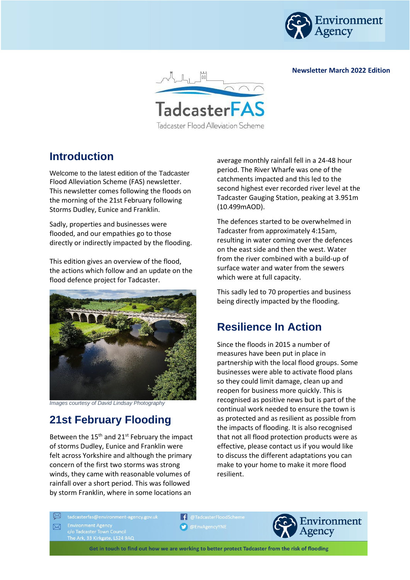

**Newsletter March 2022 Edition**



## **Introduction**

Welcome to the latest edition of the Tadcaster Flood Alleviation Scheme (FAS) newsletter. This newsletter comes following the floods on the morning of the 21st February following Storms Dudley, Eunice and Franklin.

Sadly, properties and businesses were flooded, and our empathies go to those directly or indirectly impacted by the flooding.

This edition gives an overview of the flood, the actions which follow and an update on the flood defence project for Tadcaster.



*Images courtesy of David Lindsay Photography*

# **21st February Flooding**

Between the  $15<sup>th</sup>$  and  $21<sup>st</sup>$  February the impact of storms Dudley, Eunice and Franklin were felt across Yorkshire and although the primary concern of the first two storms was strong winds, they came with reasonable volumes of rainfall over a short period. This was followed by storm Franklin, where in some locations an

average monthly rainfall fell in a 24-48 hour period. The River Wharfe was one of the catchments impacted and this led to the second highest ever recorded river level at the Tadcaster Gauging Station, peaking at 3.951m (10.499mAOD).

The defences started to be overwhelmed in Tadcaster from approximately 4:15am, resulting in water coming over the defences on the east side and then the west. Water from the river combined with a build-up of surface water and water from the sewers which were at full capacity.

This sadly led to 70 properties and business being directly impacted by the flooding.

### **Resilience In Action**

Since the floods in 2015 a number of measures have been put in place in partnership with the local flood groups. Some businesses were able to activate flood plans so they could limit damage, clean up and reopen for business more quickly. This is recognised as positive news but is part of the continual work needed to ensure the town is as protected and as resilient as possible from the impacts of flooding. It is also recognised that not all flood protection products were as effective, please contact us if you would like to discuss the different adaptations you can make to your home to make it more flood resilient.

Environment Agency<br>c/o Tadcaster Town Council

**f** @TadcasterFloodScheme **O** EnvAgencyYNE



Get in touch to find out how we are working to better protect Tadcaster from the risk of flooding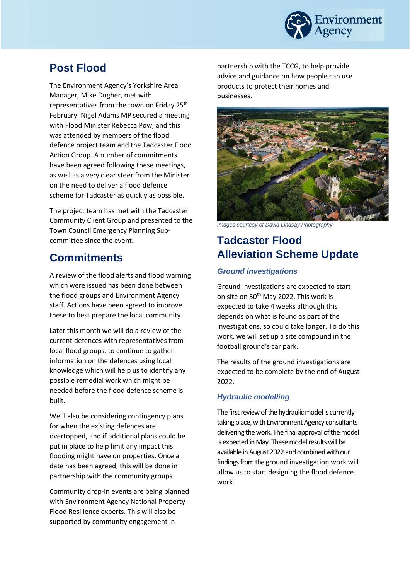

### **Post Flood**

The Environment Agency's Yorkshire Area Manager, Mike Dugher, met with representatives from the town on Friday 25<sup>th</sup> February. Nigel Adams MP secured a meeting with Flood Minister Rebecca Pow, and this was attended by members of the flood defence project team and the Tadcaster Flood Action Group. A number of commitments have been agreed following these meetings, as well as a very clear steer from the Minister on the need to deliver a flood defence scheme for Tadcaster as quickly as possible.

The project team has met with the Tadcaster Community Client Group and presented to the Town Council Emergency Planning Subcommittee since the event.

### **Commitments**

A review of the flood alerts and flood warning which were issued has been done between the flood groups and Environment Agency staff. Actions have been agreed to improve these to best prepare the local community.

Later this month we will do a review of the current defences with representatives from local flood groups, to continue to gather information on the defences using local knowledge which will help us to identify any possible remedial work which might be needed before the flood defence scheme is built.

We'll also be considering contingency plans for when the existing defences are overtopped, and if additional plans could be put in place to help limit any impact this flooding might have on properties. Once a date has been agreed, this will be done in partnership with the community groups.

Community drop-in events are being planned with Environment Agency National Property Flood Resilience experts. This will also be supported by community engagement in

partnership with the TCCG, to help provide advice and guidance on how people can use products to protect their homes and businesses.



*Images courtesy of David Lindsay Photography*

## **Tadcaster Flood Alleviation Scheme Update**

#### *Ground investigations*

Ground investigations are expected to start on site on 30<sup>th</sup> May 2022. This work is expected to take 4 weeks although this depends on what is found as part of the investigations, so could take longer. To do this work, we will set up a site compound in the football ground's car park.

The results of the ground investigations are expected to be complete by the end of August 2022.

#### *Hydraulic modelling*

The first review of the hydraulic model is currently taking place, with Environment Agency consultants delivering the work. The final approval of the model is expected in May. These model results will be available in August 2022 and combined with our findings from the ground investigation work will allow us to start designing the flood defence work.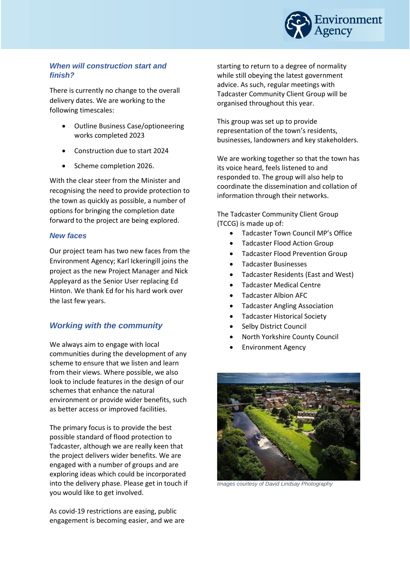

#### *When will construction start and finish?*

There is currently no change to the overall delivery dates. We are working to the following timescales:

- Outline Business Case/optioneering works completed 2023
- Construction due to start 2024
- Scheme completion 2026.

With the clear steer from the Minister and recognising the need to provide protection to the town as quickly as possible, a number of options for bringing the completion date forward to the project are being explored.

#### *New faces*

Our project team has two new faces from the Environment Agency; Karl Ickeringill joins the project as the new Project Manager and Nick Appleyard as the Senior User replacing Ed Hinton. We thank Ed for his hard work over the last few years.

#### *Working with the community*

We always aim to engage with local communities during the development of any scheme to ensure that we listen and learn from their views. Where possible, we also look to include features in the design of our schemes that enhance the natural environment or provide wider benefits, such as better access or improved facilities.

The primary focus is to provide the best possible standard of flood protection to Tadcaster, although we are really keen that the project delivers wider benefits. We are engaged with a number of groups and are exploring ideas which could be incorporated into the delivery phase. Please get in touch if you would like to get involved.

As covid-19 restrictions are easing, public engagement is becoming easier, and we are

starting to return to a degree of normality while still obeying the latest government advice. As such, regular meetings with Tadcaster Community Client Group will be organised throughout this year.

This group was set up to provide representation of the town's residents, businesses, landowners and key stakeholders.

We are working together so that the town has its voice heard, feels listened to and responded to. The group will also help to coordinate the dissemination and collation of information through their networks.

The Tadcaster Community Client Group (TCCG) is made up of:

- Tadcaster Town Council MP's Office
- Tadcaster Flood Action Group
- Tadcaster Flood Prevention Group
- Tadcaster Businesses
- Tadcaster Residents (East and West)
- **Tadcaster Medical Centre**
- Tadcaster Albion AFC
- Tadcaster Angling Association
- Tadcaster Historical Society
- Selby District Council
- North Yorkshire County Council
- Environment Agency



*Images courtesy of David Lindsay Photography*